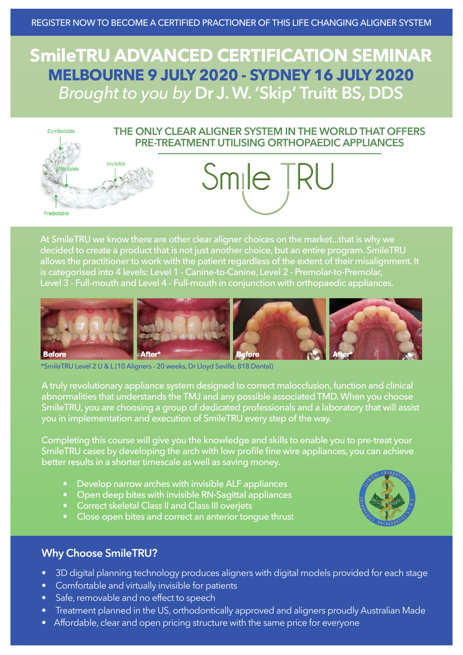# **SmileTRU ADVANCED CERTIFICATION SEMINAR MELBOURNE 9 JULY 2020 - SYDNEY 16 JULY 2020** *Brought to you by* **Dr J. W. 'Skip' Truitt BS, DDS**



At SmileTRU we know there are other clear aligner choices on the market...that is why we decided to create a product that is not just another choice, but an entire program. SmileTRU allows the practitioner to work with the patient regardless of the extent of their misalignment. It is categorised into 4 levels: Level 1 - Canine-to-Canine, Level 2 - Premolar-to-Premolar, Level 3 - Full-mouth and Level 4 - Full-mouth in conjunction with orthopaedic appliances.



\*SmileTRU Level 2 U & L (10 Aligners - 20 weeks, Dr Lloyd Saville, 818 Dental)

A truly revolutionary appliance system designed to correct malocclusion, function and clinical abnormalities that understands the TMJ and any possible associated TMD. When you choose SmileTRU, you are choosing a group of dedicated professionals and a laboratory that will assist you in implementation and execution of SmileTRU every step of the way.

Completing this course will give you the knowledge and skills to enable you to pre-treat your SmileTRU cases by developing the arch with low profile fine wire appliances, you can achieve better results in a shorter timescale as well as saving money.

- Develop narrow arches with invisible ALF appliances
- Open deep bites with invisible RN-Sagittal appliances
- Correct skeletal Class II and Class III overjets
- Close open bites and correct an anterior tongue thrust



## **Why Choose SmileTRU?**

- 3D digital planning technology produces aligners with digital models provided for each stage
- Comfortable and virtually invisible for patients
- Safe, removable and no effect to speech
- Treatment planned in the US, orthodontically approved and aligners proudly Australian Made
- Affordable, clear and open pricing structure with the same price for everyone